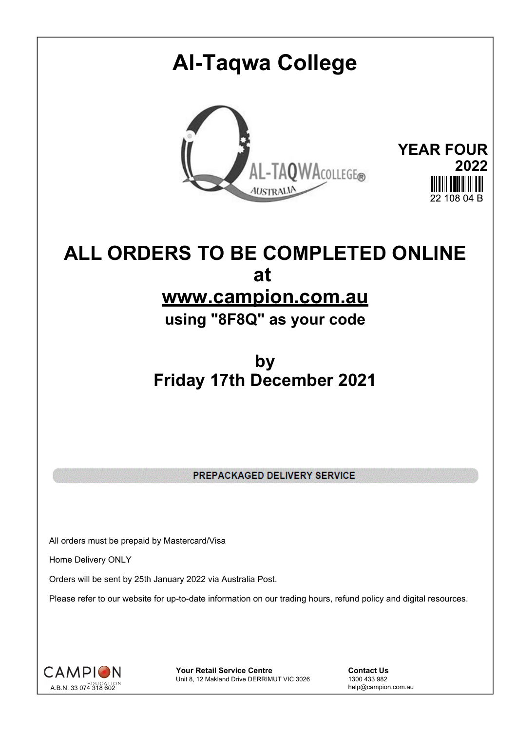# **Al-Taqwa College YEAR FOUR 2022** AL-TAQWACOLLEGE® **AUSTRALIA**  $22,108,04, \mathbb{R}$

### **ALL ORDERS TO BE COMPLETED ONLINE at www.campion.com.au**

**using "8F8Q" as your code**

#### **by Friday 17th December 2021**

PREPACKAGED DELIVERY SERVICE

All orders must be prepaid by Mastercard/Visa

Home Delivery ONLY

Orders will be sent by 25th January 2022 via Australia Post.

Please refer to our website for up-to-date information on our trading hours, refund policy and digital resources.



**Your Retail Service Centre Contact Us**<br>
Unit 8, 12 Makland Drive DERRIMUT VIC 3026
1300 433 982 Unit 8, 12 Makland Drive DERRIMUT VIC 3026

help@campion.com.au